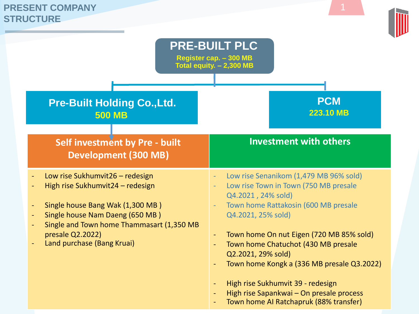## **PRESENT COMPANY STRUCTURE**

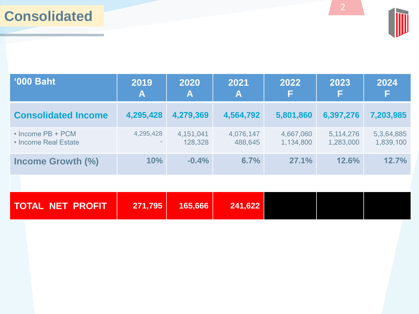## **Consolidated**



| <b>'000 Baht</b>                                | 2019<br>$\blacktriangle$ | 2021<br>2020<br>A<br>A |                      | 2022<br>F              | 2023<br>F              | 2024<br>F               |
|-------------------------------------------------|--------------------------|------------------------|----------------------|------------------------|------------------------|-------------------------|
| <b>Consolidated Income</b>                      | 4,295,428                | 4,279,369              | 4,564,792            | 5,801,860              | 6,397,276              | 7,203,985               |
| $\cdot$ Income PB + PCM<br>• Income Real Estate | 4,295,428<br>$\sim$      | 4,151,041<br>128,328   | 4,076,147<br>488,645 | 4,667,060<br>1,134,800 | 5,114,276<br>1,283,000 | 5,3,64,885<br>1,839,100 |
| Income Growth (%)                               | 10%                      | $-0.4%$                | 6.7%                 | 27.1%                  | 12.6%                  | 12.7%                   |

| TOTAL NET PROFIT | 271,795 | 165,666 | 241,622 |  |  |
|------------------|---------|---------|---------|--|--|
|                  |         |         |         |  |  |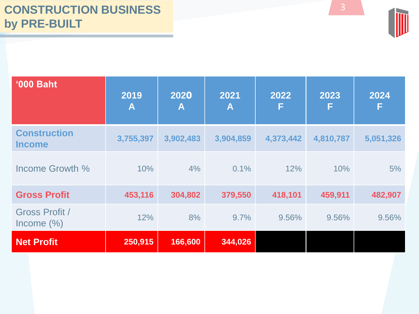

| <b>'000 Baht</b>                       | 2019<br>$\mathbf{A}$ | 2020<br>$\blacktriangle$ | 2021<br>A | 2022<br>F | 2023<br>F | 2024<br>F |
|----------------------------------------|----------------------|--------------------------|-----------|-----------|-----------|-----------|
| <b>Construction</b><br><b>Income</b>   | 3,755,397            | 3,902,483                | 3,904,859 | 4,373,442 | 4,810,787 | 5,051,326 |
| Income Growth %                        | 10%                  | 4%                       | 0.1%      | 12%       | 10%       | 5%        |
| <b>Gross Profit</b>                    | 453,116              | 304,802                  | 379,550   | 418,101   | 459,911   | 482,907   |
| <b>Gross Profit /</b><br>Income $(\%)$ | 12%                  | 8%                       | 9.7%      | 9.56%     | 9.56%     | 9.56%     |
| <b>Net Profit</b>                      | 250,915              | 166,600                  | 344,026   |           |           |           |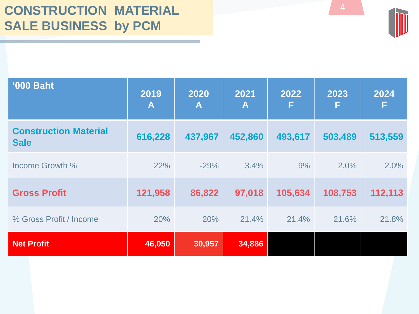| <b>'000 Baht</b>                            | 2019<br>A | 2020<br>A | 2021<br>A | 2022<br>F | 2023<br>F | 2024<br>F |
|---------------------------------------------|-----------|-----------|-----------|-----------|-----------|-----------|
| <b>Construction Material</b><br><b>Sale</b> | 616,228   | 437,967   | 452,860   | 493,617   | 503,489   | 513,559   |
| Income Growth %                             | 22%       | $-29%$    | 3.4%      | 9%        | 2.0%      | 2.0%      |
| <b>Gross Profit</b>                         | 121,958   | 86,822    | 97,018    | 105,634   | 108,753   | 112,113   |
| % Gross Profit / Income                     | 20%       | 20%       | 21.4%     | 21.4%     | 21.6%     | 21.8%     |
| <b>Net Profit</b>                           | 46,050    | 30,957    | 34,886    |           |           |           |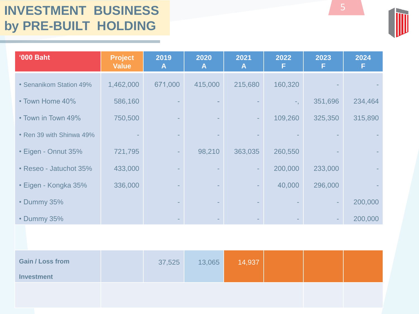## **INVESTMENT BUSINESS by PRE-BUILT HOLDING**

| <b>'000 Baht</b>         | <b>Project</b><br><b>Value</b> | 2019<br>A | 2020<br>A | 2021<br>A | 2022    | 2023    | 2024    |
|--------------------------|--------------------------------|-----------|-----------|-----------|---------|---------|---------|
| • Senanikom Station 49%  | 1,462,000                      | 671,000   | 415,000   | 215,680   | 160,320 |         |         |
| • Town Home 40%          | 586,160                        |           |           |           |         | 351,696 | 234,464 |
| • Town in Town 49%       | 750,500                        |           |           |           | 109,260 | 325,350 | 315,890 |
| • Ren 39 with Shinwa 49% |                                |           |           |           |         |         |         |
| • Eigen - Onnut 35%      | 721,795                        |           | 98,210    | 363,035   | 260,550 |         |         |
| • Reseo - Jatuchot 35%   | 433,000                        |           |           |           | 200,000 | 233,000 |         |
| • Eigen - Kongka 35%     | 336,000                        |           |           |           | 40,000  | 296,000 |         |
| • Dummy 35%              |                                |           |           |           |         |         | 200,000 |
| • Dummy 35%              |                                |           |           |           |         |         | 200,000 |

| <b>Gain / Loss from</b> | 37,525 | 13,065 | 14,937 |  |  |
|-------------------------|--------|--------|--------|--|--|
| <b>Investment</b>       |        |        |        |  |  |
|                         |        |        |        |  |  |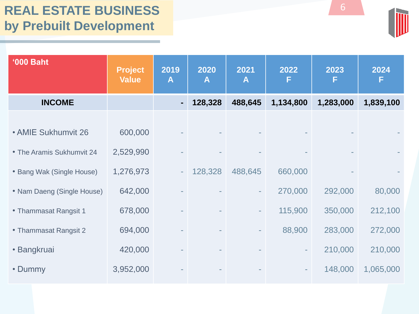| <b>'000 Baht</b>           | <b>Project</b><br><b>Value</b> | 2019<br>$\mathsf{A}$ | 2020<br>A | 2021<br>A                | 2022<br>F                | 2023<br>F | 2024<br>F |
|----------------------------|--------------------------------|----------------------|-----------|--------------------------|--------------------------|-----------|-----------|
| <b>INCOME</b>              |                                |                      | 128,328   | 488,645                  | 1,134,800                | 1,283,000 | 1,839,100 |
| • AMIE Sukhumvit 26        | 600,000                        |                      |           |                          |                          |           |           |
| • The Aramis Sukhumvit 24  | 2,529,990                      |                      |           |                          |                          |           |           |
| • Bang Wak (Single House)  | 1,276,973                      |                      | 128,328   | 488,645                  | 660,000                  |           |           |
| • Nam Daeng (Single House) | 642,000                        |                      |           | $\sim$                   | 270,000                  | 292,000   | 80,000    |
| • Thammasat Rangsit 1      | 678,000                        |                      |           | $\overline{\phantom{a}}$ | 115,900                  | 350,000   | 212,100   |
| • Thammasat Rangsit 2      | 694,000                        |                      |           |                          | 88,900                   | 283,000   | 272,000   |
| • Bangkruai                | 420,000                        |                      |           |                          | ٠                        | 210,000   | 210,000   |
| • Dummy                    | 3,952,000                      |                      |           |                          | $\overline{\phantom{a}}$ | 148,000   | 1,065,000 |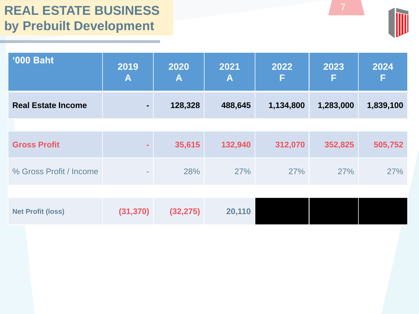| <b>'000 Baht</b>          | 2019<br>$\mathbf{A}$ | 2020<br>A | 2021<br>Α | 2022<br>F | 2023<br>F | 2024<br>F |
|---------------------------|----------------------|-----------|-----------|-----------|-----------|-----------|
| <b>Real Estate Income</b> | ۰                    | 128,328   | 488,645   | 1,134,800 | 1,283,000 | 1,839,100 |
|                           |                      |           |           |           |           |           |
| <b>Gross Profit</b>       |                      | 35,615    | 132,940   | 312,070   | 352,825   | 505,752   |
| % Gross Profit / Income   | ٠                    | 28%       | 27%       | 27%       | 27%       | 27%       |
|                           |                      |           |           |           |           |           |
| <b>Net Profit (loss)</b>  | (31, 370)            | (32, 275) | 20,110    |           |           |           |